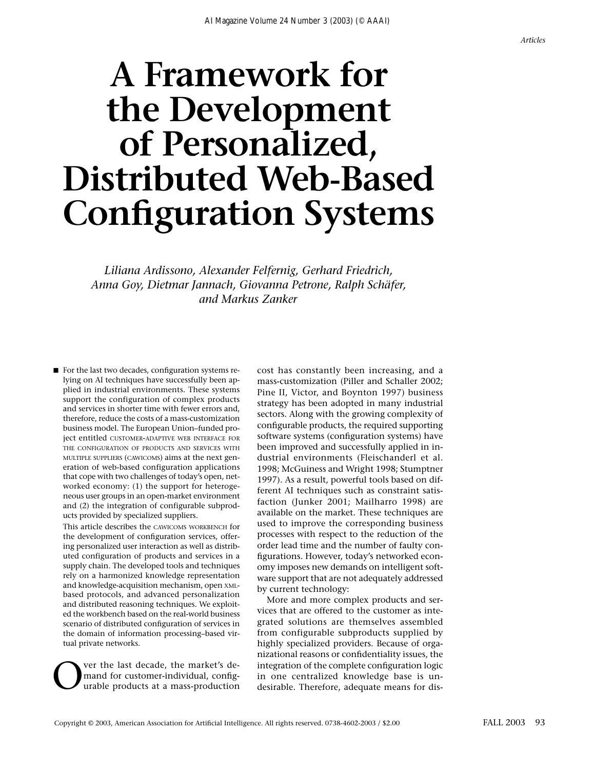# **A Framework for the Development of Personalized, Distributed Web-Based Configuration Systems**

*Liliana Ardissono, Alexander Felfernig, Gerhard Friedrich, Anna Goy, Dietmar Jannach, Giovanna Petrone, Ralph Schäfer, and Markus Zanker*

■ For the last two decades, configuration systems relying on AI techniques have successfully been applied in industrial environments. These systems support the configuration of complex products and services in shorter time with fewer errors and, therefore, reduce the costs of a mass-customization business model. The European Union–funded project entitled CUSTOMER-ADAPTIVE WEB INTERFACE FOR THE CONFIGURATION OF PRODUCTS AND SERVICES WITH MULTIPLE SUPPLIERS (CAWICOMS) aims at the next generation of web-based configuration applications that cope with two challenges of today's open, networked economy: (1) the support for heterogeneous user groups in an open-market environment and (2) the integration of configurable subproducts provided by specialized suppliers.

This article describes the CAWICOMS WORKBENCH for the development of configuration services, offering personalized user interaction as well as distributed configuration of products and services in a supply chain. The developed tools and techniques rely on a harmonized knowledge representation and knowledge-acquisition mechanism, open XMLbased protocols, and advanced personalization and distributed reasoning techniques. We exploited the workbench based on the real-world business scenario of distributed configuration of services in the domain of information processing–based virtual private networks.

**OVERT ALC** ver the last decade, the market's demand for customer-individual, configurable products at a mass-production mand for customer-individual, configurable products at a mass-production cost has constantly been increasing, and a mass-customization (Piller and Schaller 2002; Pine II, Victor, and Boynton 1997) business strategy has been adopted in many industrial sectors. Along with the growing complexity of configurable products, the required supporting software systems (configuration systems) have been improved and successfully applied in industrial environments (Fleischanderl et al. 1998; McGuiness and Wright 1998; Stumptner 1997). As a result, powerful tools based on different AI techniques such as constraint satisfaction (Junker 2001; Mailharro 1998) are available on the market. These techniques are used to improve the corresponding business processes with respect to the reduction of the order lead time and the number of faulty configurations. However, today's networked economy imposes new demands on intelligent software support that are not adequately addressed by current technology:

More and more complex products and services that are offered to the customer as integrated solutions are themselves assembled from configurable subproducts supplied by highly specialized providers. Because of organizational reasons or confidentiality issues, the integration of the complete configuration logic in one centralized knowledge base is undesirable. Therefore, adequate means for dis-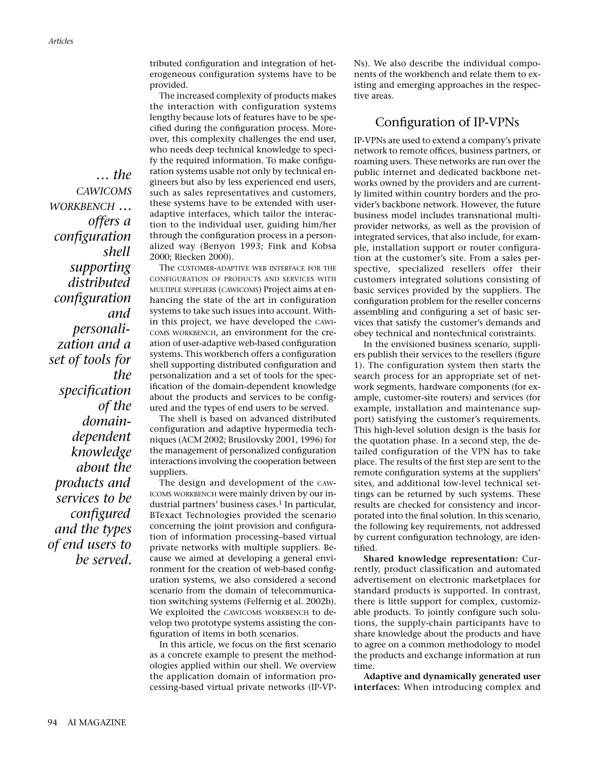*… the CAWICOMS WORKBENCH … offers a configuration shell supporting distributed configuration and personalization and a set of tools for the specification of the domaindependent knowledge about the products and services to be configured and the types of end users to be served.*

tributed configuration and integration of heterogeneous configuration systems have to be provided.

The increased complexity of products makes the interaction with configuration systems lengthy because lots of features have to be specified during the configuration process. Moreover, this complexity challenges the end user, who needs deep technical knowledge to specify the required information. To make configuration systems usable not only by technical engineers but also by less experienced end users, such as sales representatives and customers, these systems have to be extended with useradaptive interfaces, which tailor the interaction to the individual user, guiding him/her through the configuration process in a personalized way (Benyon 1993; Fink and Kobsa 2000; Riecken 2000).

The CUSTOMER-ADAPTIVE WEB INTERFACE FOR THE CONFIGURATION OF PRODUCTS AND SERVICES WITH MULTIPLE SUPPLIERS (CAWICOMS) Project aims at enhancing the state of the art in configuration systems to take such issues into account. Within this project, we have developed the CAWI-COMS WORKBENCH, an environment for the creation of user-adaptive web-based configuration systems. This workbench offers a configuration shell supporting distributed configuration and personalization and a set of tools for the specification of the domain-dependent knowledge about the products and services to be configured and the types of end users to be served.

The shell is based on advanced distributed configuration and adaptive hypermedia techniques (ACM 2002; Brusilovsky 2001, 1996) for the management of personalized configuration interactions involving the cooperation between suppliers.

The design and development of the CAW-ICOMS WORKBENCH were mainly driven by our industrial partners' business cases.<sup>1</sup> In particular, BTexact Technologies provided the scenario concerning the joint provision and configuration of information processing–based virtual private networks with multiple suppliers. Because we aimed at developing a general environment for the creation of web-based configuration systems, we also considered a second scenario from the domain of telecommunication switching systems (Felfernig et al. 2002b). We exploited the CAWICOMS WORKBENCH to develop two prototype systems assisting the configuration of items in both scenarios.

In this article, we focus on the first scenario as a concrete example to present the methodologies applied within our shell. We overview the application domain of information processing-based virtual private networks (IP-VP- Ns). We also describe the individual components of the workbench and relate them to existing and emerging approaches in the respective areas.

## Configuration of IP-VPNs

IP-VPNs are used to extend a company's private network to remote offices, business partners, or roaming users. These networks are run over the public internet and dedicated backbone networks owned by the providers and are currently limited within country borders and the provider's backbone network. However, the future business model includes transnational multiprovider networks, as well as the provision of integrated services, that also include, for example, installation support or router configuration at the customer's site. From a sales perspective, specialized resellers offer their customers integrated solutions consisting of basic services provided by the suppliers. The configuration problem for the reseller concerns assembling and configuring a set of basic services that satisfy the customer's demands and obey technical and nontechnical constraints.

In the envisioned business scenario, suppliers publish their services to the resellers (figure 1). The configuration system then starts the search process for an appropriate set of network segments, hardware components (for example, customer-site routers) and services (for example, installation and maintenance support) satisfying the customer's requirements. This high-level solution design is the basis for the quotation phase. In a second step, the detailed configuration of the VPN has to take place. The results of the first step are sent to the remote configuration systems at the suppliers' sites, and additional low-level technical settings can be returned by such systems. These results are checked for consistency and incorporated into the final solution. In this scenario, the following key requirements, not addressed by current configuration technology, are identified.

**Shared knowledge representation:** Currently, product classification and automated advertisement on electronic marketplaces for standard products is supported. In contrast, there is little support for complex, customizable products. To jointly configure such solutions, the supply-chain participants have to share knowledge about the products and have to agree on a common methodology to model the products and exchange information at run time.

**Adaptive and dynamically generated user interfaces:** When introducing complex and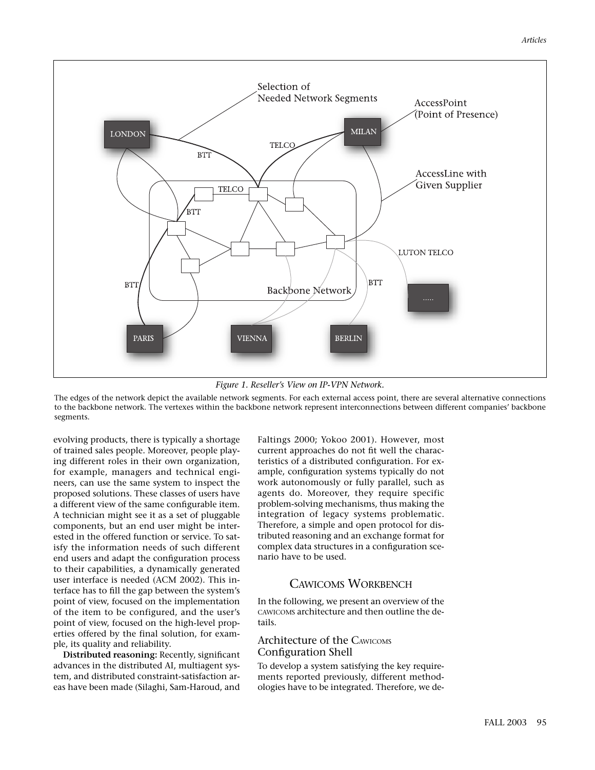

*Figure 1. Reseller's View on IP-VPN Network.*

The edges of the network depict the available network segments. For each external access point, there are several alternative connections to the backbone network. The vertexes within the backbone network represent interconnections between different companies' backbone segments.

evolving products, there is typically a shortage of trained sales people. Moreover, people playing different roles in their own organization, for example, managers and technical engineers, can use the same system to inspect the proposed solutions. These classes of users have a different view of the same configurable item. A technician might see it as a set of pluggable components, but an end user might be interested in the offered function or service. To satisfy the information needs of such different end users and adapt the configuration process to their capabilities, a dynamically generated user interface is needed (ACM 2002). This interface has to fill the gap between the system's point of view, focused on the implementation of the item to be configured, and the user's point of view, focused on the high-level properties offered by the final solution, for example, its quality and reliability.

**Distributed reasoning:** Recently, significant advances in the distributed AI, multiagent system, and distributed constraint-satisfaction areas have been made (Silaghi, Sam-Haroud, and

Faltings 2000; Yokoo 2001). However, most current approaches do not fit well the characteristics of a distributed configuration. For example, configuration systems typically do not work autonomously or fully parallel, such as agents do. Moreover, they require specific problem-solving mechanisms, thus making the integration of legacy systems problematic. Therefore, a simple and open protocol for distributed reasoning and an exchange format for complex data structures in a configuration scenario have to be used.

## CAWICOMS WORKBENCH

In the following, we present an overview of the CAWICOMS architecture and then outline the details.

## Architecture of the CAWICOMS Configuration Shell

To develop a system satisfying the key requirements reported previously, different methodologies have to be integrated. Therefore, we de-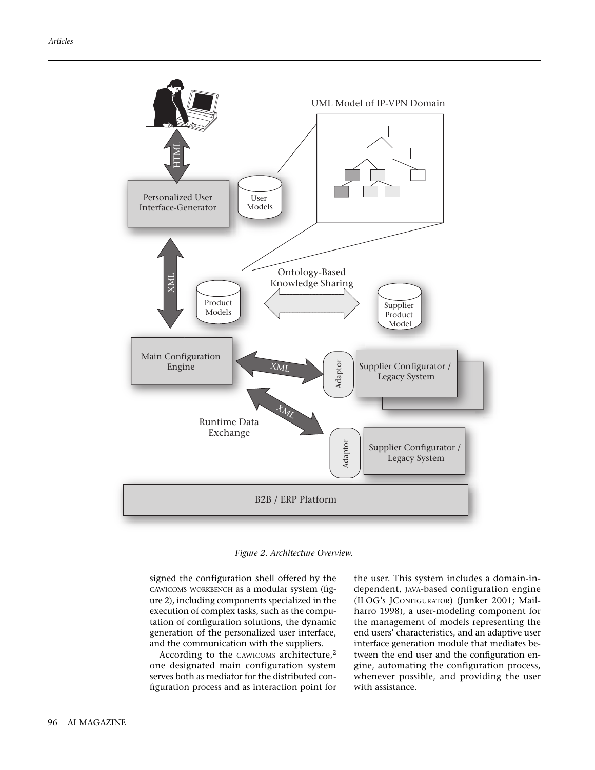

*Figure 2. Architecture Overview.*

signed the configuration shell offered by the CAWICOMS WORKBENCH as a modular system (figure 2), including components specialized in the execution of complex tasks, such as the computation of configuration solutions, the dynamic generation of the personalized user interface, and the communication with the suppliers.

According to the CAWICOMS architecture,<sup>2</sup> one designated main configuration system serves both as mediator for the distributed configuration process and as interaction point for the user. This system includes a domain-independent, JAVA-based configuration engine (ILOG's JCONFIGURATOR) (Junker 2001; Mailharro 1998), a user-modeling component for the management of models representing the end users' characteristics, and an adaptive user interface generation module that mediates between the end user and the configuration engine, automating the configuration process, whenever possible, and providing the user with assistance.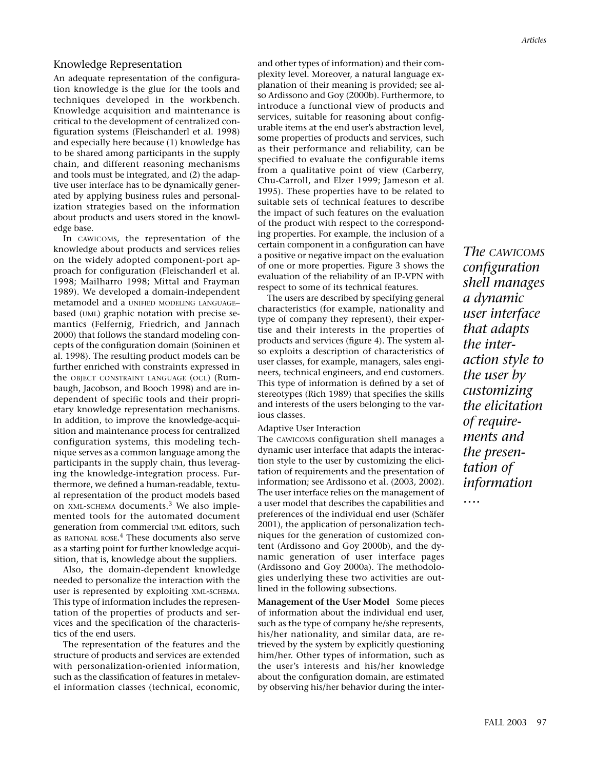## Knowledge Representation

An adequate representation of the configuration knowledge is the glue for the tools and techniques developed in the workbench. Knowledge acquisition and maintenance is critical to the development of centralized configuration systems (Fleischanderl et al. 1998) and especially here because (1) knowledge has to be shared among participants in the supply chain, and different reasoning mechanisms and tools must be integrated, and (2) the adaptive user interface has to be dynamically generated by applying business rules and personalization strategies based on the information about products and users stored in the knowledge base.

In CAWICOMS, the representation of the knowledge about products and services relies on the widely adopted component-port approach for configuration (Fleischanderl et al. 1998; Mailharro 1998; Mittal and Frayman 1989). We developed a domain-independent metamodel and a UNIFIED MODELING LANGUAGE– based (UML) graphic notation with precise semantics (Felfernig, Friedrich, and Jannach 2000) that follows the standard modeling concepts of the configuration domain (Soininen et al. 1998). The resulting product models can be further enriched with constraints expressed in the OBJECT CONSTRAINT LANGUAGE (OCL) (Rumbaugh, Jacobson, and Booch 1998) and are independent of specific tools and their proprietary knowledge representation mechanisms. In addition, to improve the knowledge-acquisition and maintenance process for centralized configuration systems, this modeling technique serves as a common language among the participants in the supply chain, thus leveraging the knowledge-integration process. Furthermore, we defined a human-readable, textual representation of the product models based on XML-SCHEMA documents.<sup>3</sup> We also implemented tools for the automated document generation from commercial UML editors, such as RATIONAL ROSE. <sup>4</sup> These documents also serve as a starting point for further knowledge acquisition, that is, knowledge about the suppliers.

Also, the domain-dependent knowledge needed to personalize the interaction with the user is represented by exploiting XML-SCHEMA. This type of information includes the representation of the properties of products and services and the specification of the characteristics of the end users.

The representation of the features and the structure of products and services are extended with personalization-oriented information, such as the classification of features in metalevel information classes (technical, economic,

and other types of information) and their complexity level. Moreover, a natural language explanation of their meaning is provided; see also Ardissono and Goy (2000b). Furthermore, to introduce a functional view of products and services, suitable for reasoning about configurable items at the end user's abstraction level, some properties of products and services, such as their performance and reliability, can be specified to evaluate the configurable items from a qualitative point of view (Carberry, Chu-Carroll, and Elzer 1999; Jameson et al. 1995). These properties have to be related to suitable sets of technical features to describe the impact of such features on the evaluation of the product with respect to the corresponding properties. For example, the inclusion of a certain component in a configuration can have a positive or negative impact on the evaluation of one or more properties. Figure 3 shows the evaluation of the reliability of an IP-VPN with respect to some of its technical features.

The users are described by specifying general characteristics (for example, nationality and type of company they represent), their expertise and their interests in the properties of products and services (figure 4). The system also exploits a description of characteristics of user classes, for example, managers, sales engineers, technical engineers, and end customers. This type of information is defined by a set of stereotypes (Rich 1989) that specifies the skills and interests of the users belonging to the various classes.

#### Adaptive User Interaction

The CAWICOMS configuration shell manages a dynamic user interface that adapts the interaction style to the user by customizing the elicitation of requirements and the presentation of information; see Ardissono et al. (2003, 2002). The user interface relies on the management of a user model that describes the capabilities and preferences of the individual end user (Schäfer 2001), the application of personalization techniques for the generation of customized content (Ardissono and Goy 2000b), and the dynamic generation of user interface pages (Ardissono and Goy 2000a). The methodologies underlying these two activities are outlined in the following subsections.

**Management of the User Model** Some pieces of information about the individual end user, such as the type of company he/she represents, his/her nationality, and similar data, are retrieved by the system by explicitly questioning him/her. Other types of information, such as the user's interests and his/her knowledge about the configuration domain, are estimated by observing his/her behavior during the inter-

*The CAWICOMS configuration shell manages a dynamic user interface that adapts the interaction style to the user by customizing the elicitation of requirements and the presentation of information*

*….*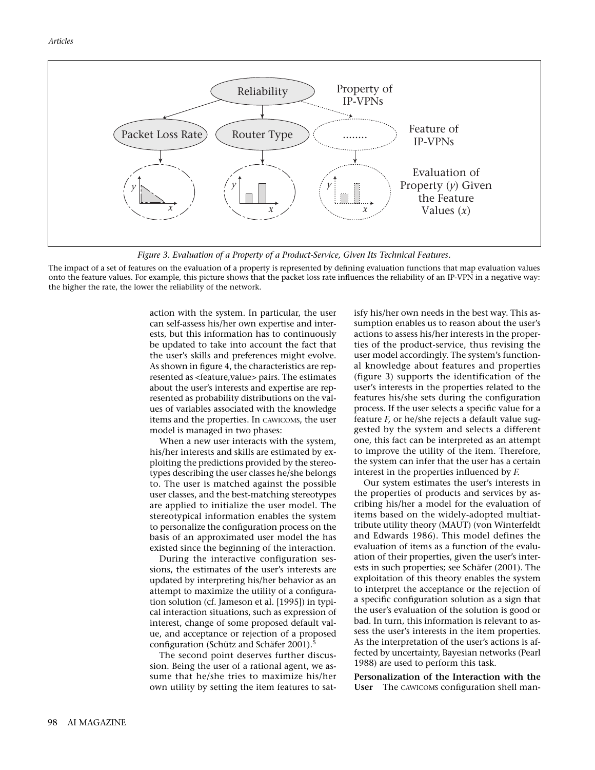

*Figure 3. Evaluation of a Property of a Product-Service, Given Its Technical Features.*

The impact of a set of features on the evaluation of a property is represented by defining evaluation functions that map evaluation values onto the feature values. For example, this picture shows that the packet loss rate influences the reliability of an IP-VPN in a negative way: the higher the rate, the lower the reliability of the network.

> action with the system. In particular, the user can self-assess his/her own expertise and interests, but this information has to continuously be updated to take into account the fact that the user's skills and preferences might evolve. As shown in figure 4, the characteristics are represented as <feature,value> pairs. The estimates about the user's interests and expertise are represented as probability distributions on the values of variables associated with the knowledge items and the properties. In CAWICOMS, the user model is managed in two phases:

> When a new user interacts with the system, his/her interests and skills are estimated by exploiting the predictions provided by the stereotypes describing the user classes he/she belongs to. The user is matched against the possible user classes, and the best-matching stereotypes are applied to initialize the user model. The stereotypical information enables the system to personalize the configuration process on the basis of an approximated user model the has existed since the beginning of the interaction.

> During the interactive configuration sessions, the estimates of the user's interests are updated by interpreting his/her behavior as an attempt to maximize the utility of a configuration solution (cf. Jameson et al. [1995]) in typical interaction situations, such as expression of interest, change of some proposed default value, and acceptance or rejection of a proposed configuration (Schütz and Schäfer 2001).5

> The second point deserves further discussion. Being the user of a rational agent, we assume that he/she tries to maximize his/her own utility by setting the item features to sat

isfy his/her own needs in the best way. This assumption enables us to reason about the user's actions to assess his/her interests in the properties of the product-service, thus revising the user model accordingly. The system's functional knowledge about features and properties (figure 3) supports the identification of the user's interests in the properties related to the features his/she sets during the configuration process. If the user selects a specific value for a feature *F,* or he/she rejects a default value suggested by the system and selects a different one, this fact can be interpreted as an attempt to improve the utility of the item. Therefore, the system can infer that the user has a certain interest in the properties influenced by *F.*

Our system estimates the user's interests in the properties of products and services by ascribing his/her a model for the evaluation of items based on the widely-adopted multiattribute utility theory (MAUT) (von Winterfeldt and Edwards 1986). This model defines the evaluation of items as a function of the evaluation of their properties, given the user's interests in such properties; see Schäfer (2001). The exploitation of this theory enables the system to interpret the acceptance or the rejection of a specific configuration solution as a sign that the user's evaluation of the solution is good or bad. In turn, this information is relevant to assess the user's interests in the item properties. As the interpretation of the user's actions is affected by uncertainty, Bayesian networks (Pearl 1988) are used to perform this task.

**Personalization of the Interaction with the User** The CAWICOMS configuration shell man-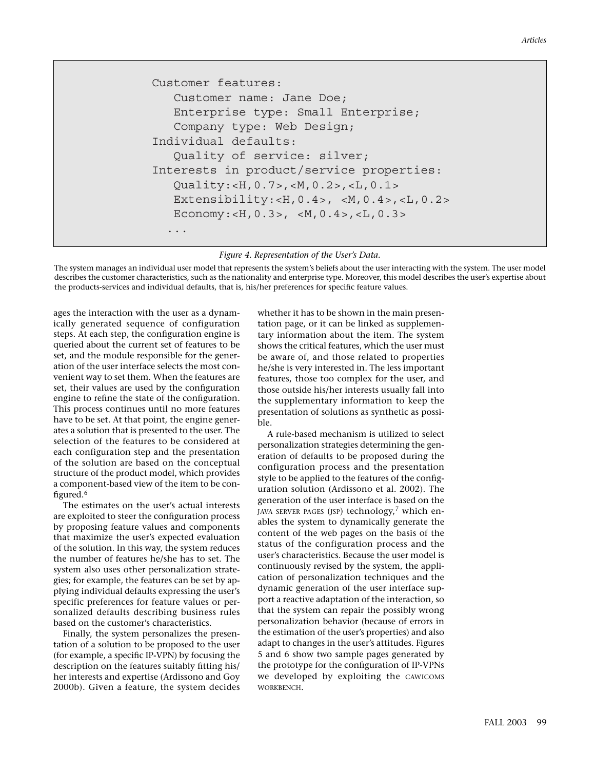#### *Articles*

```
Customer features:
    Customer name: Jane Doe;
    Enterprise type: Small Enterprise;
    Company type: Web Design;
Individual defaults:
    Quality of service: silver;
Interests in product/service properties:
    Quality:<H,0.7>,<M,0.2>,<L,0.1>
    Extensibility:<H,0.4>, <M,0.4>,<L,0.2>
   Economy: <H, 0.3>, <M, 0.4>, <L, 0.3>
   ...
```
*Figure 4. Representation of the User's Data.*

The system manages an individual user model that represents the system's beliefs about the user interacting with the system. The user model describes the customer characteristics, such as the nationality and enterprise type. Moreover, this model describes the user's expertise about the products-services and individual defaults, that is, his/her preferences for specific feature values.

ages the interaction with the user as a dynamically generated sequence of configuration steps. At each step, the configuration engine is queried about the current set of features to be set, and the module responsible for the generation of the user interface selects the most convenient way to set them. When the features are set, their values are used by the configuration engine to refine the state of the configuration. This process continues until no more features have to be set. At that point, the engine generates a solution that is presented to the user. The selection of the features to be considered at each configuration step and the presentation of the solution are based on the conceptual structure of the product model, which provides a component-based view of the item to be configured.<sup>6</sup>

The estimates on the user's actual interests are exploited to steer the configuration process by proposing feature values and components that maximize the user's expected evaluation of the solution. In this way, the system reduces the number of features he/she has to set. The system also uses other personalization strategies; for example, the features can be set by applying individual defaults expressing the user's specific preferences for feature values or personalized defaults describing business rules based on the customer's characteristics.

Finally, the system personalizes the presentation of a solution to be proposed to the user (for example, a specific IP-VPN) by focusing the description on the features suitably fitting his/ her interests and expertise (Ardissono and Goy 2000b). Given a feature, the system decides whether it has to be shown in the main presentation page, or it can be linked as supplementary information about the item. The system shows the critical features, which the user must be aware of, and those related to properties he/she is very interested in. The less important features, those too complex for the user, and those outside his/her interests usually fall into the supplementary information to keep the presentation of solutions as synthetic as possible.

A rule-based mechanism is utilized to select personalization strategies determining the generation of defaults to be proposed during the configuration process and the presentation style to be applied to the features of the configuration solution (Ardissono et al. 2002). The generation of the user interface is based on the JAVA SERVER PAGES (JSP) technology,<sup>7</sup> which enables the system to dynamically generate the content of the web pages on the basis of the status of the configuration process and the user's characteristics. Because the user model is continuously revised by the system, the application of personalization techniques and the dynamic generation of the user interface support a reactive adaptation of the interaction, so that the system can repair the possibly wrong personalization behavior (because of errors in the estimation of the user's properties) and also adapt to changes in the user's attitudes. Figures 5 and 6 show two sample pages generated by the prototype for the configuration of IP-VPNs we developed by exploiting the CAWICOMS WORKBENCH.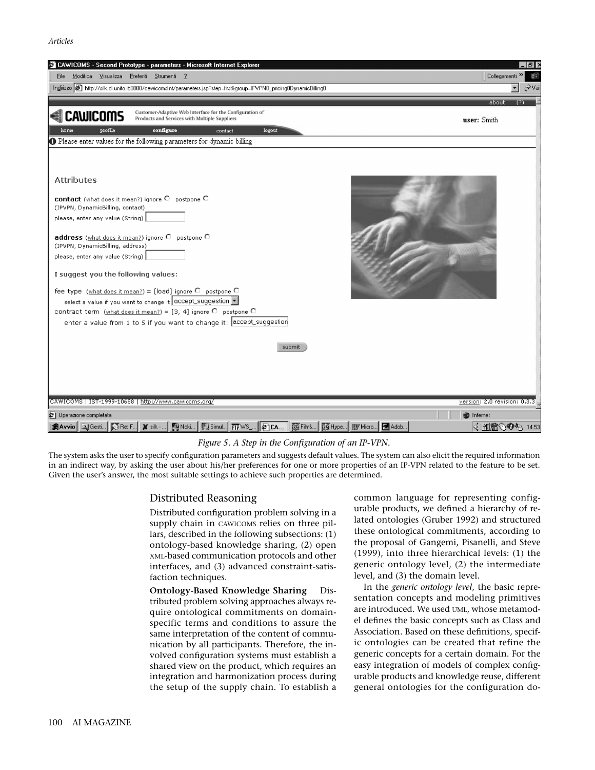*Articles*



#### *Figure 5. A Step in the Configuration of an IP-VPN.*

The system asks the user to specify configuration parameters and suggests default values. The system can also elicit the required information in an indirect way, by asking the user about his/her preferences for one or more properties of an IP-VPN related to the feature to be set. Given the user's answer, the most suitable settings to achieve such properties are determined.

### Distributed Reasoning

Distributed configuration problem solving in a supply chain in CAWICOMS relies on three pillars, described in the following subsections: (1) ontology-based knowledge sharing, (2) open XML-based communication protocols and other interfaces, and (3) advanced constraint-satisfaction techniques.

**Ontology-Based Knowledge Sharing Dis**tributed problem solving approaches always require ontological commitments on domainspecific terms and conditions to assure the same interpretation of the content of communication by all participants. Therefore, the involved configuration systems must establish a shared view on the product, which requires an integration and harmonization process during the setup of the supply chain. To establish a

common language for representing configurable products, we defined a hierarchy of related ontologies (Gruber 1992) and structured these ontological commitments, according to the proposal of Gangemi, Pisanelli, and Steve (1999), into three hierarchical levels: (1) the generic ontology level, (2) the intermediate level, and (3) the domain level.

In the *generic ontology level*, the basic representation concepts and modeling primitives are introduced. We used UML, whose metamodel defines the basic concepts such as Class and Association. Based on these definitions, specific ontologies can be created that refine the generic concepts for a certain domain. For the easy integration of models of complex configurable products and knowledge reuse, different general ontologies for the configuration do-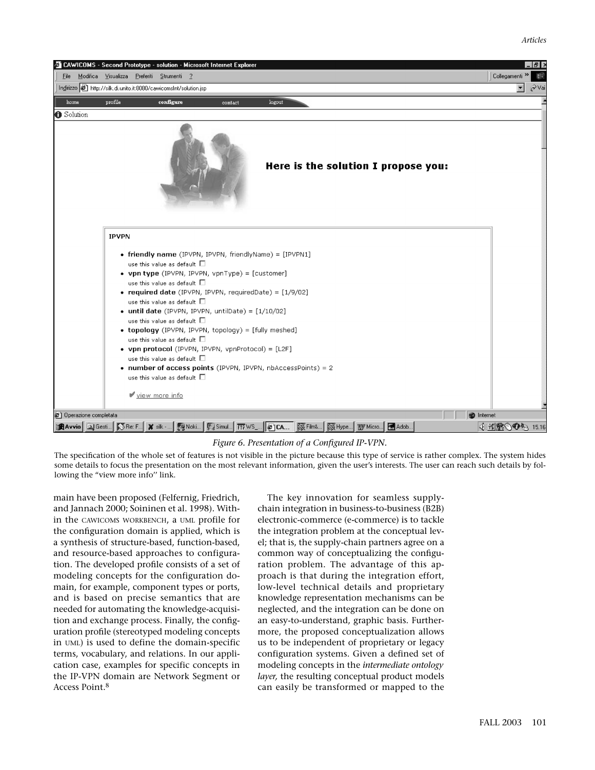

### *Figure 6. Presentation of a Configured IP-VPN.*

The specification of the whole set of features is not visible in the picture because this type of service is rather complex. The system hides some details to focus the presentation on the most relevant information, given the user's interests. The user can reach such details by following the "view more info'' link.

main have been proposed (Felfernig, Friedrich, and Jannach 2000; Soininen et al. 1998). Within the CAWICOMS WORKBENCH, a UML profile for the configuration domain is applied, which is a synthesis of structure-based, function-based, and resource-based approaches to configuration. The developed profile consists of a set of modeling concepts for the configuration domain, for example, component types or ports, and is based on precise semantics that are needed for automating the knowledge-acquisition and exchange process. Finally, the configuration profile (stereotyped modeling concepts in UML) is used to define the domain-specific terms, vocabulary, and relations. In our application case, examples for specific concepts in the IP-VPN domain are Network Segment or Access Point.8

The key innovation for seamless supplychain integration in business-to-business (B2B) electronic-commerce (e-commerce) is to tackle the integration problem at the conceptual level; that is, the supply-chain partners agree on a common way of conceptualizing the configuration problem. The advantage of this approach is that during the integration effort, low-level technical details and proprietary knowledge representation mechanisms can be neglected, and the integration can be done on an easy-to-understand, graphic basis. Furthermore, the proposed conceptualization allows us to be independent of proprietary or legacy configuration systems. Given a defined set of modeling concepts in the *intermediate ontology layer,* the resulting conceptual product models can easily be transformed or mapped to the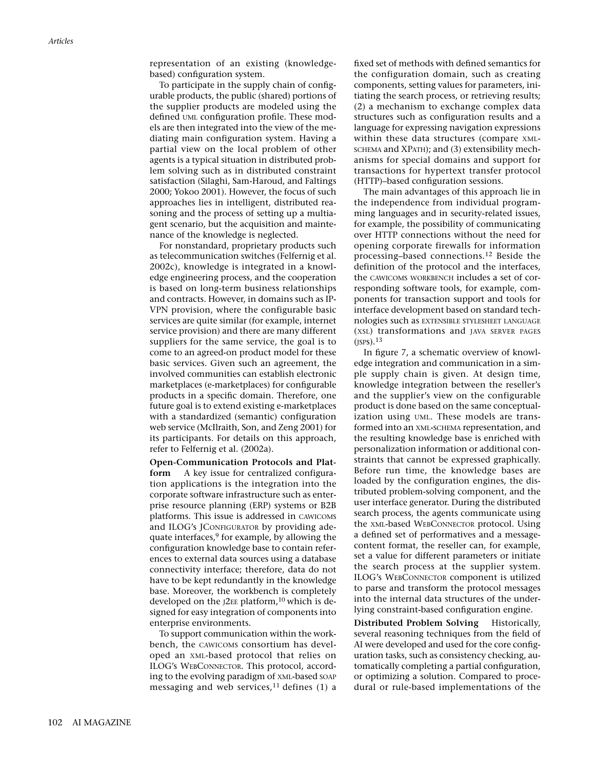representation of an existing (knowledgebased) configuration system.

To participate in the supply chain of configurable products, the public (shared) portions of the supplier products are modeled using the defined UML configuration profile. These models are then integrated into the view of the mediating main configuration system. Having a partial view on the local problem of other agents is a typical situation in distributed problem solving such as in distributed constraint satisfaction (Silaghi, Sam-Haroud, and Faltings 2000; Yokoo 2001). However, the focus of such approaches lies in intelligent, distributed reasoning and the process of setting up a multiagent scenario, but the acquisition and maintenance of the knowledge is neglected.

For nonstandard, proprietary products such as telecommunication switches (Felfernig et al. 2002c), knowledge is integrated in a knowledge engineering process, and the cooperation is based on long-term business relationships and contracts. However, in domains such as IP-VPN provision, where the configurable basic services are quite similar (for example, internet service provision) and there are many different suppliers for the same service, the goal is to come to an agreed-on product model for these basic services. Given such an agreement, the involved communities can establish electronic marketplaces (e-marketplaces) for configurable products in a specific domain. Therefore, one future goal is to extend existing e-marketplaces with a standardized (semantic) configuration web service (McIlraith, Son, and Zeng 2001) for its participants. For details on this approach, refer to Felfernig et al. (2002a).

**Open-Communication Protocols and Platform** A key issue for centralized configuration applications is the integration into the corporate software infrastructure such as enterprise resource planning (ERP) systems or B2B platforms. This issue is addressed in CAWICOMS and ILOG's JCONFIGURATOR by providing adequate interfaces,<sup>9</sup> for example, by allowing the configuration knowledge base to contain references to external data sources using a database connectivity interface; therefore, data do not have to be kept redundantly in the knowledge base. Moreover, the workbench is completely developed on the  $J2EE$  platform,<sup>10</sup> which is designed for easy integration of components into enterprise environments.

To support communication within the workbench, the CAWICOMS consortium has developed an XML-based protocol that relies on ILOG's WEBCONNECTOR. This protocol, according to the evolving paradigm of XML-based SOAP messaging and web services, $11$  defines (1) a fixed set of methods with defined semantics for the configuration domain, such as creating components, setting values for parameters, initiating the search process, or retrieving results; (2) a mechanism to exchange complex data structures such as configuration results and a language for expressing navigation expressions within these data structures (compare XML-SCHEMA and XPATH); and (3) extensibility mechanisms for special domains and support for transactions for hypertext transfer protocol (HTTP)–based configuration sessions.

The main advantages of this approach lie in the independence from individual programming languages and in security-related issues, for example, the possibility of communicating over HTTP connections without the need for opening corporate firewalls for information processing–based connections.<sup>12</sup> Beside the definition of the protocol and the interfaces, the CAWICOMS WORKBENCH includes a set of corresponding software tools, for example, components for transaction support and tools for interface development based on standard technologies such as EXTENSIBLE STYLESHEET LANGUAGE (XSL) transformations and JAVA SERVER PAGES  $(JSPS).<sup>13</sup>$ 

In figure 7, a schematic overview of knowledge integration and communication in a simple supply chain is given. At design time, knowledge integration between the reseller's and the supplier's view on the configurable product is done based on the same conceptualization using UML. These models are transformed into an XML-SCHEMA representation, and the resulting knowledge base is enriched with personalization information or additional constraints that cannot be expressed graphically. Before run time, the knowledge bases are loaded by the configuration engines, the distributed problem-solving component, and the user interface generator. During the distributed search process, the agents communicate using the XML-based WEBCONNECTOR protocol. Using a defined set of performatives and a messagecontent format, the reseller can, for example, set a value for different parameters or initiate the search process at the supplier system. ILOG's WEBCONNECTOR component is utilized to parse and transform the protocol messages into the internal data structures of the underlying constraint-based configuration engine.

**Distributed Problem Solving** Historically, several reasoning techniques from the field of AI were developed and used for the core configuration tasks, such as consistency checking, automatically completing a partial configuration, or optimizing a solution. Compared to procedural or rule-based implementations of the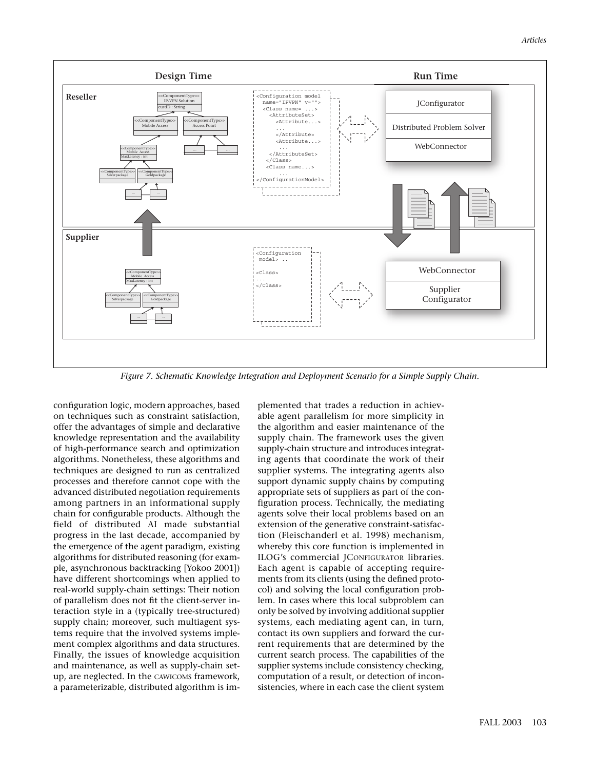

*Figure 7. Schematic Knowledge Integration and Deployment Scenario for a Simple Supply Chain.*

configuration logic, modern approaches, based on techniques such as constraint satisfaction, offer the advantages of simple and declarative knowledge representation and the availability of high-performance search and optimization algorithms. Nonetheless, these algorithms and techniques are designed to run as centralized processes and therefore cannot cope with the advanced distributed negotiation requirements among partners in an informational supply chain for configurable products. Although the field of distributed AI made substantial progress in the last decade, accompanied by the emergence of the agent paradigm, existing algorithms for distributed reasoning (for example, asynchronous backtracking [Yokoo 2001]) have different shortcomings when applied to real-world supply-chain settings: Their notion of parallelism does not fit the client-server interaction style in a (typically tree-structured) supply chain; moreover, such multiagent systems require that the involved systems implement complex algorithms and data structures. Finally, the issues of knowledge acquisition and maintenance, as well as supply-chain setup, are neglected. In the CAWICOMS framework, a parameterizable, distributed algorithm is implemented that trades a reduction in achievable agent parallelism for more simplicity in the algorithm and easier maintenance of the supply chain. The framework uses the given supply-chain structure and introduces integrating agents that coordinate the work of their supplier systems. The integrating agents also support dynamic supply chains by computing appropriate sets of suppliers as part of the configuration process. Technically, the mediating agents solve their local problems based on an extension of the generative constraint-satisfaction (Fleischanderl et al. 1998) mechanism, whereby this core function is implemented in ILOG's commercial JCONFIGURATOR libraries. Each agent is capable of accepting requirements from its clients (using the defined protocol) and solving the local configuration problem. In cases where this local subproblem can only be solved by involving additional supplier systems, each mediating agent can, in turn, contact its own suppliers and forward the current requirements that are determined by the current search process. The capabilities of the supplier systems include consistency checking, computation of a result, or detection of inconsistencies, where in each case the client system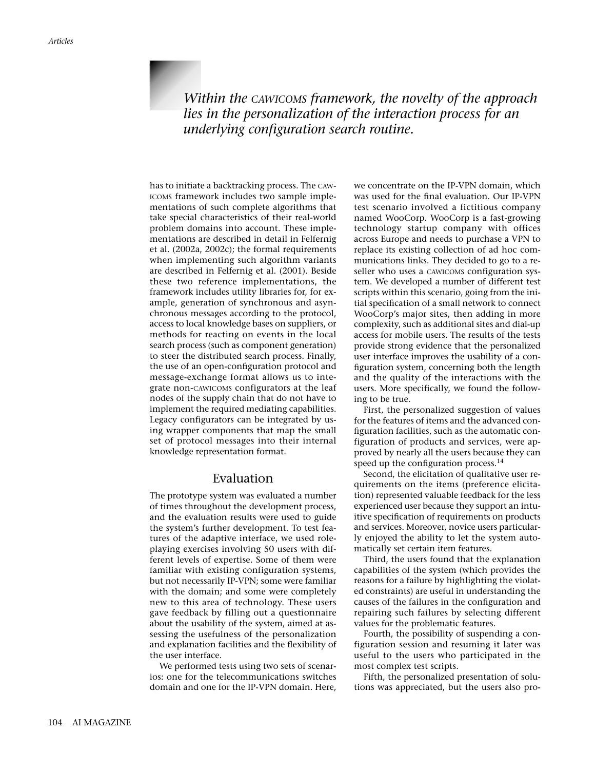*Within the CAWICOMS framework, the novelty of the approach lies in the personalization of the interaction process for an underlying configuration search routine.*

has to initiate a backtracking process. The CAW-ICOMS framework includes two sample implementations of such complete algorithms that take special characteristics of their real-world problem domains into account. These implementations are described in detail in Felfernig et al. (2002a, 2002c); the formal requirements when implementing such algorithm variants are described in Felfernig et al. (2001). Beside these two reference implementations, the framework includes utility libraries for, for example, generation of synchronous and asynchronous messages according to the protocol, access to local knowledge bases on suppliers, or methods for reacting on events in the local search process (such as component generation) to steer the distributed search process. Finally, the use of an open-configuration protocol and message-exchange format allows us to integrate non-CAWICOMS configurators at the leaf nodes of the supply chain that do not have to implement the required mediating capabilities. Legacy configurators can be integrated by using wrapper components that map the small set of protocol messages into their internal knowledge representation format.

## Evaluation

The prototype system was evaluated a number of times throughout the development process, and the evaluation results were used to guide the system's further development. To test features of the adaptive interface, we used roleplaying exercises involving 50 users with different levels of expertise. Some of them were familiar with existing configuration systems, but not necessarily IP-VPN; some were familiar with the domain; and some were completely new to this area of technology. These users gave feedback by filling out a questionnaire about the usability of the system, aimed at assessing the usefulness of the personalization and explanation facilities and the flexibility of the user interface.

We performed tests using two sets of scenarios: one for the telecommunications switches domain and one for the IP-VPN domain. Here,

we concentrate on the IP-VPN domain, which was used for the final evaluation. Our IP-VPN test scenario involved a fictitious company named WooCorp. WooCorp is a fast-growing technology startup company with offices across Europe and needs to purchase a VPN to replace its existing collection of ad hoc communications links. They decided to go to a reseller who uses a CAWICOMS configuration system. We developed a number of different test scripts within this scenario, going from the initial specification of a small network to connect WooCorp's major sites, then adding in more complexity, such as additional sites and dial-up access for mobile users. The results of the tests provide strong evidence that the personalized user interface improves the usability of a configuration system, concerning both the length and the quality of the interactions with the users. More specifically, we found the following to be true.

First, the personalized suggestion of values for the features of items and the advanced configuration facilities, such as the automatic configuration of products and services, were approved by nearly all the users because they can speed up the configuration process. $14$ 

Second, the elicitation of qualitative user requirements on the items (preference elicitation) represented valuable feedback for the less experienced user because they support an intuitive specification of requirements on products and services. Moreover, novice users particularly enjoyed the ability to let the system automatically set certain item features.

Third, the users found that the explanation capabilities of the system (which provides the reasons for a failure by highlighting the violated constraints) are useful in understanding the causes of the failures in the configuration and repairing such failures by selecting different values for the problematic features.

Fourth, the possibility of suspending a configuration session and resuming it later was useful to the users who participated in the most complex test scripts.

Fifth, the personalized presentation of solutions was appreciated, but the users also pro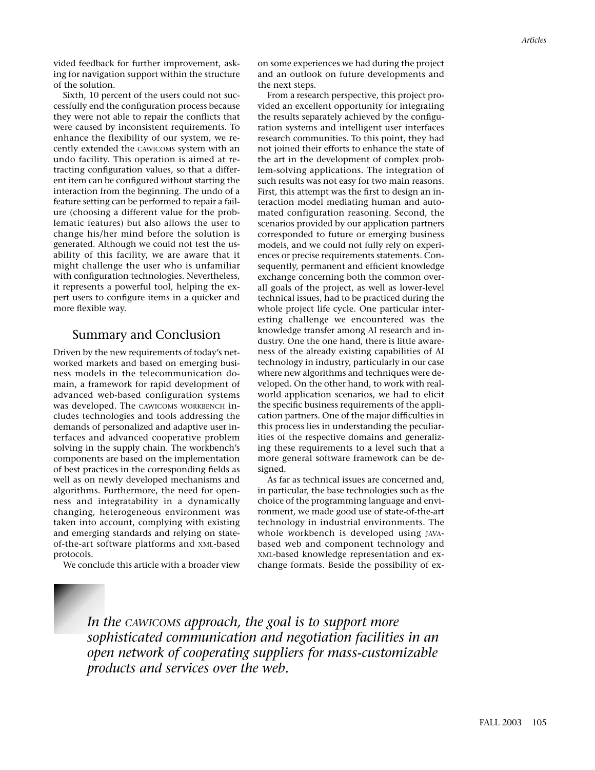vided feedback for further improvement, asking for navigation support within the structure of the solution.

Sixth, 10 percent of the users could not successfully end the configuration process because they were not able to repair the conflicts that were caused by inconsistent requirements. To enhance the flexibility of our system, we recently extended the CAWICOMS system with an undo facility. This operation is aimed at retracting configuration values, so that a different item can be configured without starting the interaction from the beginning. The undo of a feature setting can be performed to repair a failure (choosing a different value for the problematic features) but also allows the user to change his/her mind before the solution is generated. Although we could not test the usability of this facility, we are aware that it might challenge the user who is unfamiliar with configuration technologies. Nevertheless, it represents a powerful tool, helping the expert users to configure items in a quicker and more flexible way.

## Summary and Conclusion

Driven by the new requirements of today's networked markets and based on emerging business models in the telecommunication domain, a framework for rapid development of advanced web-based configuration systems was developed. The CAWICOMS WORKBENCH includes technologies and tools addressing the demands of personalized and adaptive user interfaces and advanced cooperative problem solving in the supply chain. The workbench's components are based on the implementation of best practices in the corresponding fields as well as on newly developed mechanisms and algorithms. Furthermore, the need for openness and integratability in a dynamically changing, heterogeneous environment was taken into account, complying with existing and emerging standards and relying on stateof-the-art software platforms and XML-based protocols.

We conclude this article with a broader view

on some experiences we had during the project and an outlook on future developments and the next steps.

From a research perspective, this project provided an excellent opportunity for integrating the results separately achieved by the configuration systems and intelligent user interfaces research communities. To this point, they had not joined their efforts to enhance the state of the art in the development of complex problem-solving applications. The integration of such results was not easy for two main reasons. First, this attempt was the first to design an interaction model mediating human and automated configuration reasoning. Second, the scenarios provided by our application partners corresponded to future or emerging business models, and we could not fully rely on experiences or precise requirements statements. Consequently, permanent and efficient knowledge exchange concerning both the common overall goals of the project, as well as lower-level technical issues, had to be practiced during the whole project life cycle. One particular interesting challenge we encountered was the knowledge transfer among AI research and industry. One the one hand, there is little awareness of the already existing capabilities of AI technology in industry, particularly in our case where new algorithms and techniques were developed. On the other hand, to work with realworld application scenarios, we had to elicit the specific business requirements of the application partners. One of the major difficulties in this process lies in understanding the peculiarities of the respective domains and generalizing these requirements to a level such that a more general software framework can be designed.

As far as technical issues are concerned and, in particular, the base technologies such as the choice of the programming language and environment, we made good use of state-of-the-art technology in industrial environments. The whole workbench is developed using JAVAbased web and component technology and XML-based knowledge representation and exchange formats. Beside the possibility of ex-

*In the CAWICOMS approach, the goal is to support more sophisticated communication and negotiation facilities in an open network of cooperating suppliers for mass-customizable products and services over the web.*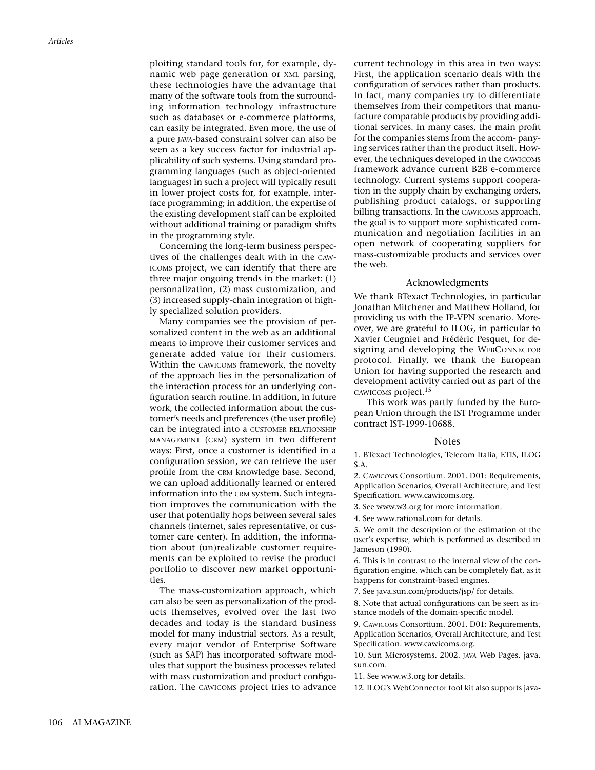ploiting standard tools for, for example, dynamic web page generation or XML parsing, these technologies have the advantage that many of the software tools from the surrounding information technology infrastructure such as databases or e-commerce platforms, can easily be integrated. Even more, the use of a pure JAVA-based constraint solver can also be seen as a key success factor for industrial applicability of such systems. Using standard programming languages (such as object-oriented languages) in such a project will typically result in lower project costs for, for example, interface programming; in addition, the expertise of the existing development staff can be exploited without additional training or paradigm shifts in the programming style.

Concerning the long-term business perspectives of the challenges dealt with in the CAW-ICOMS project, we can identify that there are three major ongoing trends in the market: (1) personalization, (2) mass customization, and (3) increased supply-chain integration of highly specialized solution providers.

Many companies see the provision of personalized content in the web as an additional means to improve their customer services and generate added value for their customers. Within the CAWICOMS framework, the novelty of the approach lies in the personalization of the interaction process for an underlying configuration search routine. In addition, in future work, the collected information about the customer's needs and preferences (the user profile) can be integrated into a CUSTOMER RELATIONSHIP MANAGEMENT (CRM) system in two different ways: First, once a customer is identified in a configuration session, we can retrieve the user profile from the CRM knowledge base. Second, we can upload additionally learned or entered information into the CRM system. Such integration improves the communication with the user that potentially hops between several sales channels (internet, sales representative, or customer care center). In addition, the information about (un)realizable customer requirements can be exploited to revise the product portfolio to discover new market opportunities.

The mass-customization approach, which can also be seen as personalization of the products themselves, evolved over the last two decades and today is the standard business model for many industrial sectors. As a result, every major vendor of Enterprise Software (such as SAP) has incorporated software modules that support the business processes related with mass customization and product configuration. The CAWICOMS project tries to advance current technology in this area in two ways: First, the application scenario deals with the configuration of services rather than products. In fact, many companies try to differentiate themselves from their competitors that manufacture comparable products by providing additional services. In many cases, the main profit for the companies stems from the accom- panying services rather than the product itself. However, the techniques developed in the CAWICOMS framework advance current B2B e-commerce technology. Current systems support cooperation in the supply chain by exchanging orders, publishing product catalogs, or supporting billing transactions. In the CAWICOMS approach, the goal is to support more sophisticated communication and negotiation facilities in an open network of cooperating suppliers for mass-customizable products and services over the web.

#### Acknowledgments

We thank BTexact Technologies, in particular Jonathan Mitchener and Matthew Holland, for providing us with the IP-VPN scenario. Moreover, we are grateful to ILOG, in particular to Xavier Ceugniet and Frédéric Pesquet, for designing and developing the WEBCONNECTOR protocol. Finally, we thank the European Union for having supported the research and development activity carried out as part of the CAWICOMS project.<sup>15</sup>

This work was partly funded by the European Union through the IST Programme under contract IST-1999-10688.

#### **Notes**

1. BTexact Technologies, Telecom Italia, ETIS, ILOG S.A.

2. CAWICOMS Consortium. 2001. D01: Requirements, Application Scenarios, Overall Architecture, and Test Specification. www.cawicoms.org.

3. See www.w3.org for more information.

4. See www.rational.com for details.

5. We omit the description of the estimation of the user's expertise, which is performed as described in Jameson (1990).

6. This is in contrast to the internal view of the configuration engine, which can be completely flat, as it happens for constraint-based engines.

7. See java.sun.com/products/jsp/ for details.

8. Note that actual configurations can be seen as instance models of the domain-specific model.

9. CAWICOMS Consortium. 2001. D01: Requirements, Application Scenarios, Overall Architecture, and Test Specification. www.cawicoms.org.

10. Sun Microsystems. 2002. JAVA Web Pages. java. sun.com.

11. See www.w3.org for details.

12. ILOG's WebConnector tool kit also supports java-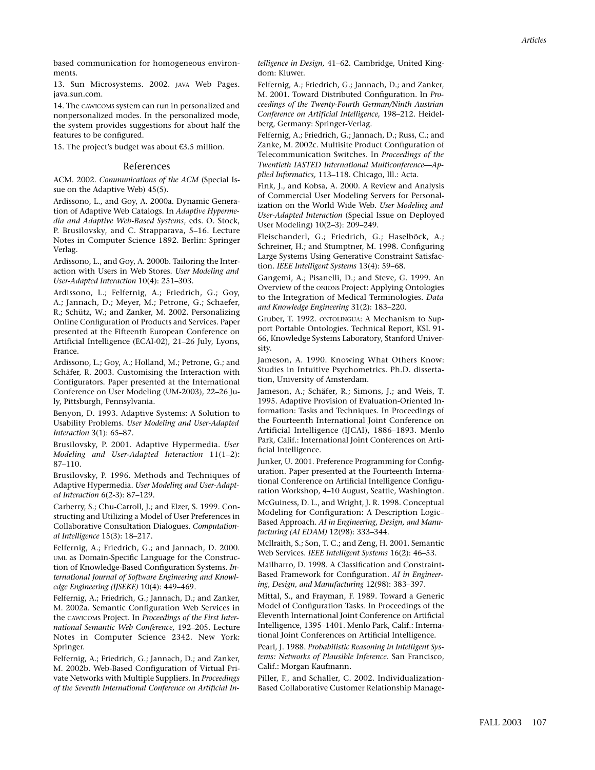based communication for homogeneous environments.

13. Sun Microsystems. 2002. JAVA Web Pages. java.sun.com.

14. The CAWICOMS system can run in personalized and nonpersonalized modes. In the personalized mode, the system provides suggestions for about half the features to be configured.

15. The project's budget was about €3.5 million.

#### References

ACM. 2002. *Communications of the ACM* (Special Issue on the Adaptive Web) 45(5).

Ardissono, L., and Goy, A. 2000a. Dynamic Generation of Adaptive Web Catalogs. In *Adaptive Hypermedia and Adaptive Web-Based Systems*, eds. O. Stock, P. Brusilovsky, and C. Strapparava, 5–16. Lecture Notes in Computer Science 1892. Berlin: Springer Verlag.

Ardissono, L., and Goy, A. 2000b. Tailoring the Interaction with Users in Web Stores. *User Modeling and User-Adapted Interaction* 10(4): 251–303.

Ardissono, L.; Felfernig, A.; Friedrich, G.; Goy, A.; Jannach, D.; Meyer, M.; Petrone, G.; Schaefer, R.; Schütz, W.; and Zanker, M. 2002. Personalizing Online Configuration of Products and Services. Paper presented at the Fifteenth European Conference on Artificial Intelligence (ECAI-02), 21–26 July, Lyons, France.

Ardissono, L.; Goy, A.; Holland, M.; Petrone, G.; and Schäfer, R. 2003. Customising the Interaction with Configurators. Paper presented at the International Conference on User Modeling (UM-2003), 22–26 July, Pittsburgh, Pennsylvania.

Benyon, D. 1993. Adaptive Systems: A Solution to Usability Problems. *User Modeling and User-Adapted Interaction* 3(1): 65–87.

Brusilovsky, P. 2001. Adaptive Hypermedia. *User Modeling and User-Adapted Interaction* 11(1–2): 87–110.

Brusilovsky, P. 1996. Methods and Techniques of Adaptive Hypermedia. *User Modeling and User-Adapted Interaction* 6(2-3): 87–129.

Carberry, S.; Chu-Carroll, J.; and Elzer, S. 1999. Constructing and Utilizing a Model of User Preferences in Collaborative Consultation Dialogues. *Computational Intelligence* 15(3): 18–217.

Felfernig, A.; Friedrich, G.; and Jannach, D. 2000. UML as Domain-Specific Language for the Construction of Knowledge-Based Configuration Systems. *International Journal of Software Engineering and Knowledge Engineering (IJSEKE)* 10(4): 449–469.

Felfernig, A.; Friedrich, G.; Jannach, D.; and Zanker, M. 2002a. Semantic Configuration Web Services in the CAWICOMS Project. In *Proceedings of the First International Semantic Web Conference,* 192–205. Lecture Notes in Computer Science 2342. New York: Springer.

Felfernig, A.; Friedrich, G.; Jannach, D.; and Zanker, M. 2002b. Web-Based Configuration of Virtual Private Networks with Multiple Suppliers. In *Proceedings of the Seventh International Conference on Artificial In-* *telligence in Design,* 41–62. Cambridge, United Kingdom: Kluwer.

Felfernig, A.; Friedrich, G.; Jannach, D.; and Zanker, M. 2001. Toward Distributed Configuration. In *Proceedings of the Twenty-Fourth German/Ninth Austrian Conference on Artificial Intelligence,* 198–212. Heidelberg, Germany: Springer-Verlag.

Felfernig, A.; Friedrich, G.; Jannach, D.; Russ, C.; and Zanke, M. 2002c. Multisite Product Configuration of Telecommunication Switches. In *Proceedings of the Twentieth IASTED International Multiconference—Applied Informatics,* 113–118. Chicago, Ill.: Acta.

Fink, J., and Kobsa, A. 2000. A Review and Analysis of Commercial User Modeling Servers for Personalization on the World Wide Web. *User Modeling and User-Adapted Interaction* (Special Issue on Deployed User Modeling) 10(2–3): 209–249.

Fleischanderl, G.; Friedrich, G.; Haselböck, A.; Schreiner, H.; and Stumptner, M. 1998. Configuring Large Systems Using Generative Constraint Satisfaction. *IEEE Intelligent Systems* 13(4): 59–68.

Gangemi, A.; Pisanelli, D.; and Steve, G. 1999. An Overview of the ONIONS Project: Applying Ontologies to the Integration of Medical Terminologies. *Data and Knowledge Engineering* 31(2): 183–220.

Gruber, T. 1992. ONTOLINGUA: A Mechanism to Support Portable Ontologies. Technical Report, KSL 91- 66, Knowledge Systems Laboratory, Stanford University.

Jameson, A. 1990. Knowing What Others Know: Studies in Intuitive Psychometrics. Ph.D. dissertation, University of Amsterdam.

Jameson, A.; Schäfer, R.; Simons, J.; and Weis, T. 1995. Adaptive Provision of Evaluation-Oriented Information: Tasks and Techniques. In Proceedings of the Fourteenth International Joint Conference on Artificial Intelligence (IJCAI), 1886–1893. Menlo Park, Calif.: International Joint Conferences on Artificial Intelligence.

Junker, U. 2001. Preference Programming for Configuration. Paper presented at the Fourteenth International Conference on Artificial Intelligence Configuration Workshop, 4–10 August, Seattle, Washington.

McGuiness, D. L., and Wright, J. R. 1998. Conceptual Modeling for Configuration: A Description Logic– Based Approach. *AI in Engineering, Design, and Manufacturing (AI EDAM)* 12(98): 333–344.

McIlraith, S.; Son, T. C.; and Zeng, H. 2001. Semantic Web Services. *IEEE Intelligent Systems* 16(2): 46–53.

Mailharro, D. 1998. A Classification and Constraint-Based Framework for Configuration. *AI in Engineering, Design, and Manufacturing* 12(98): 383–397.

Mittal, S., and Frayman, F. 1989. Toward a Generic Model of Configuration Tasks. In Proceedings of the Eleventh International Joint Conference on Artificial Intelligence, 1395–1401. Menlo Park, Calif.: International Joint Conferences on Artificial Intelligence.

Pearl, J. 1988. *Probabilistic Reasoning in Intelligent Systems: Networks of Plausible Inference.* San Francisco, Calif.: Morgan Kaufmann.

Piller, F., and Schaller, C. 2002. Individualization-Based Collaborative Customer Relationship Manage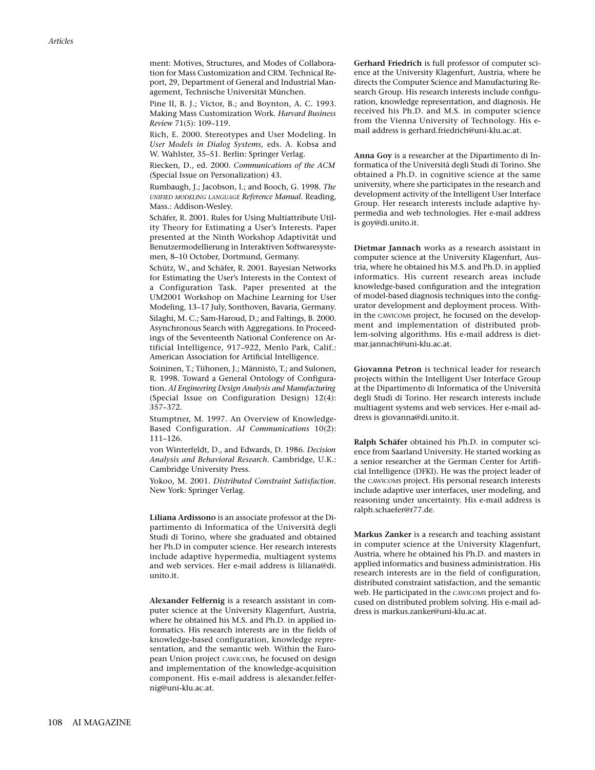ment: Motives, Structures, and Modes of Collaboration for Mass Customization and CRM. Technical Report, 29, Department of General and Industrial Management, Technische Universität München.

Pine II, B. J.; Victor, B.; and Boynton, A. C. 1993. Making Mass Customization Work. *Harvard Business Review* 71(5): 109–119.

Rich, E. 2000. Stereotypes and User Modeling. In *User Models in Dialog Systems,* eds. A. Kobsa and W. Wahlster, 35–51. Berlin: Springer Verlag.

Riecken, D., ed. 2000. *Communications of the ACM* (Special Issue on Personalization) 43.

Rumbaugh, J.; Jacobson, I.; and Booch, G. 1998. *The UNIFIED MODELING LANGUAGE Reference Manual.* Reading, Mass.: Addison-Wesley.

Schäfer, R. 2001. Rules for Using Multiattribute Utility Theory for Estimating a User's Interests. Paper presented at the Ninth Workshop Adaptivität und Benutzermodellierung in Interaktiven Softwaresystemen, 8–10 October, Dortmund, Germany.

Schütz, W., and Schäfer, R. 2001. Bayesian Networks for Estimating the User's Interests in the Context of a Configuration Task. Paper presented at the UM2001 Workshop on Machine Learning for User Modeling, 13–17 July, Sonthoven, Bavaria, Germany. Silaghi, M. C.; Sam-Haroud, D.; and Faltings, B. 2000. Asynchronous Search with Aggregations. In Proceedings of the Seventeenth National Conference on Artificial Intelligence, 917–922, Menlo Park, Calif.: American Association for Artificial Intelligence.

Soininen, T.; Tiihonen, J.; Männistö, T.; and Sulonen, R. 1998. Toward a General Ontology of Configuration. *AI Engineering Design Analysis and Manufacturing* (Special Issue on Configuration Design) 12(4): 357–372.

Stumptner, M. 1997. An Overview of Knowledge-Based Configuration. *AI Communications* 10(2): 111–126.

von Winterfeldt, D., and Edwards, D. 1986. *Decision Analysis and Behavioral Research.* Cambridge, U.K.: Cambridge University Press.

Yokoo, M. 2001. *Distributed Constraint Satisfaction.* New York: Springer Verlag.

**Liliana Ardissono** is an associate professor at the Dipartimento di Informatica of the Università degli Studi di Torino, where she graduated and obtained her Ph.D in computer science. Her research interests include adaptive hypermedia, multiagent systems and web services. Her e-mail address is liliana@di. unito.it.

**Alexander Felfernig** is a research assistant in computer science at the University Klagenfurt, Austria, where he obtained his M.S. and Ph.D. in applied informatics. His research interests are in the fields of knowledge-based configuration, knowledge representation, and the semantic web. Within the European Union project CAWICOMS, he focused on design and implementation of the knowledge-acquisition component. His e-mail address is alexander.felfernig@uni-klu.ac.at.

**Gerhard Friedrich** is full professor of computer science at the University Klagenfurt, Austria, where he directs the Computer Science and Manufacturing Research Group. His research interests include configuration, knowledge representation, and diagnosis. He received his Ph.D. and M.S. in computer science from the Vienna University of Technology. His email address is gerhard.friedrich@uni-klu.ac.at.

**Anna Goy** is a researcher at the Dipartimento di Informatica of the Università degli Studi di Torino. She obtained a Ph.D. in cognitive science at the same university, where she participates in the research and development activity of the Intelligent User Interface Group. Her research interests include adaptive hypermedia and web technologies. Her e-mail address is goy@di.unito.it.

**Dietmar Jannach** works as a research assistant in computer science at the University Klagenfurt, Austria, where he obtained his M.S. and Ph.D. in applied informatics. His current research areas include knowledge-based configuration and the integration of model-based diagnosis techniques into the configurator development and deployment process. Within the CAWICOMS project, he focused on the development and implementation of distributed problem-solving algorithms. His e-mail address is dietmar.jannach@uni-klu.ac.at.

**Giovanna Petron** is technical leader for research projects within the Intelligent User Interface Group at the Dipartimento di Informatica of the Università degli Studi di Torino. Her research interests include multiagent systems and web services. Her e-mail address is giovanna@di.unito.it.

**Ralph Schäfer** obtained his Ph.D. in computer science from Saarland University. He started working as a senior researcher at the German Center for Artificial Intelligence (DFKI). He was the project leader of the CAWICOMS project. His personal research interests include adaptive user interfaces, user modeling, and reasoning under uncertainty. His e-mail address is ralph.schaefer@r77.de.

**Markus Zanker** is a research and teaching assistant in computer science at the University Klagenfurt, Austria, where he obtained his Ph.D. and masters in applied informatics and business administration. His research interests are in the field of configuration, distributed constraint satisfaction, and the semantic web. He participated in the CAWICOMS project and focused on distributed problem solving. His e-mail address is markus.zanker@uni-klu.ac.at.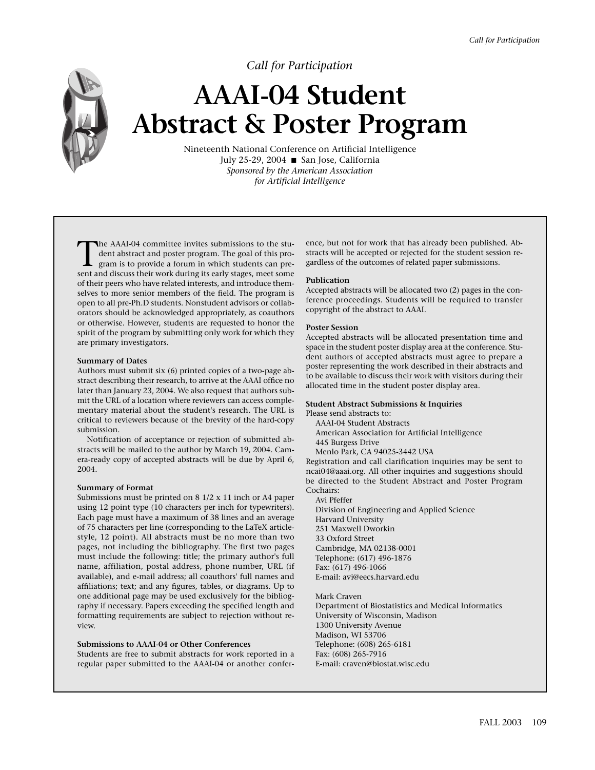## *Call for Participation*

## **AAAI-04 Student Abstract & Poster Program**

Nineteenth National Conference on Artificial Intelligence July 25-29, 2004 ■ San Jose, California *Sponsored by the American Association for Artificial Intelligence*

The AAAI-04 committee invites submissions to the student abstract and poster program. The goal of this program is to provide a forum in which students can present and discuss their work during its early stages meet some dent abstract and poster program. The goal of this program is to provide a forum in which students can present and discuss their work during its early stages, meet some of their peers who have related interests, and introduce themselves to more senior members of the field. The program is open to all pre-Ph.D students. Nonstudent advisors or collaborators should be acknowledged appropriately, as coauthors or otherwise. However, students are requested to honor the spirit of the program by submitting only work for which they are primary investigators.

#### **Summary of Dates**

Authors must submit six (6) printed copies of a two-page abstract describing their research, to arrive at the AAAI office no later than January 23, 2004. We also request that authors submit the URL of a location where reviewers can access complementary material about the student's research. The URL is critical to reviewers because of the brevity of the hard-copy submission.

Notification of acceptance or rejection of submitted abstracts will be mailed to the author by March 19, 2004. Camera-ready copy of accepted abstracts will be due by April 6, 2004.

#### **Summary of Format**

Submissions must be printed on 8 1/2 x 11 inch or A4 paper using 12 point type (10 characters per inch for typewriters). Each page must have a maximum of 38 lines and an average of 75 characters per line (corresponding to the LaTeX articlestyle, 12 point). All abstracts must be no more than two pages, not including the bibliography. The first two pages must include the following: title; the primary author's full name, affiliation, postal address, phone number, URL (if available), and e-mail address; all coauthors' full names and affiliations; text; and any figures, tables, or diagrams. Up to one additional page may be used exclusively for the bibliography if necessary. Papers exceeding the specified length and formatting requirements are subject to rejection without review.

#### **Submissions to AAAI-04 or Other Conferences**

Students are free to submit abstracts for work reported in a regular paper submitted to the AAAI-04 or another conference, but not for work that has already been published. Abstracts will be accepted or rejected for the student session regardless of the outcomes of related paper submissions.

#### **Publication**

Accepted abstracts will be allocated two (2) pages in the conference proceedings. Students will be required to transfer copyright of the abstract to AAAI.

#### **Poster Session**

Accepted abstracts will be allocated presentation time and space in the student poster display area at the conference. Student authors of accepted abstracts must agree to prepare a poster representing the work described in their abstracts and to be available to discuss their work with visitors during their allocated time in the student poster display area.

#### **Student Abstract Submissions & Inquiries**

Please send abstracts to:

AAAI-04 Student Abstracts

American Association for Artificial Intelligence 445 Burgess Drive

Menlo Park, CA 94025-3442 USA

Registration and call clarification inquiries may be sent to ncai04@aaai.org. All other inquiries and suggestions should be directed to the Student Abstract and Poster Program Cochairs:

Avi Pfeffer

Division of Engineering and Applied Science Harvard University 251 Maxwell Dworkin 33 Oxford Street Cambridge, MA 02138-0001 Telephone: (617) 496-1876 Fax: (617) 496-1066 E-mail: avi@eecs.harvard.edu

Mark Craven Department of Biostatistics and Medical Informatics University of Wisconsin, Madison 1300 University Avenue Madison, WI 53706 Telephone: (608) 265-6181 Fax: (608) 265-7916 E-mail: craven@biostat.wisc.edu